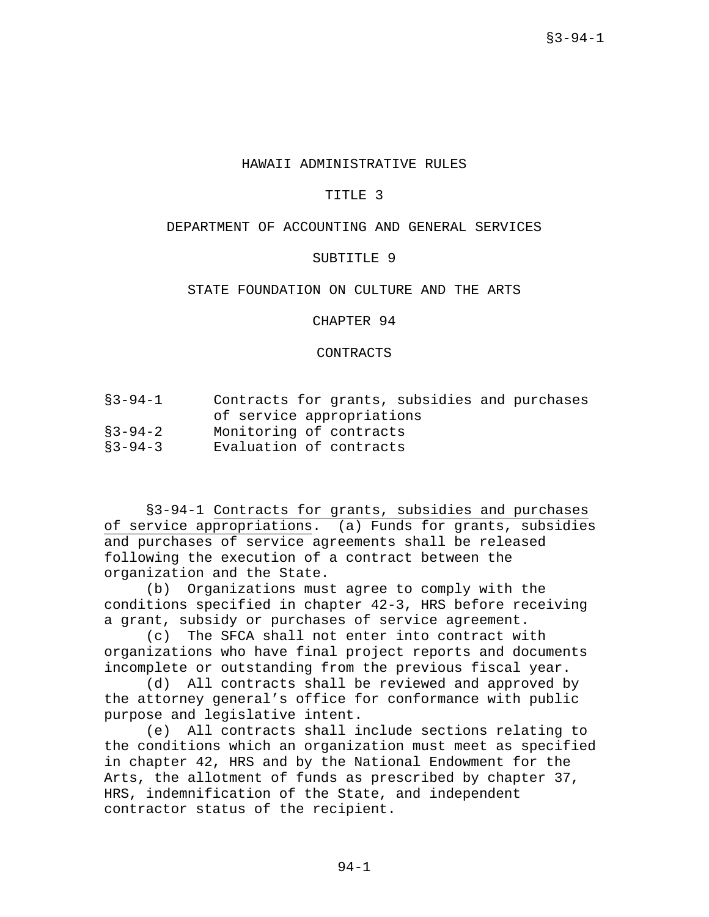## HAWAII ADMINISTRATIVE RULES

### TITLE 3

# DEPARTMENT OF ACCOUNTING AND GENERAL SERVICES

## SUBTITLE 9

### STATE FOUNDATION ON CULTURE AND THE ARTS

CHAPTER 94

CONTRACTS

| $$3 - 94 - 1$ | Contracts for grants, subsidies and purchases |  |  |  |  |  |
|---------------|-----------------------------------------------|--|--|--|--|--|
|               | of service appropriations                     |  |  |  |  |  |

- §3-94-2 Monitoring of contracts
- §3-94-3 Evaluation of contracts

§3-94-1 Contracts for grants, subsidies and purchases of service appropriations. (a) Funds for grants, subsidies and purchases of service agreements shall be released following the execution of a contract between the organization and the State.

(b) Organizations must agree to comply with the conditions specified in chapter 42-3, HRS before receiving a grant, subsidy or purchases of service agreement.

(c) The SFCA shall not enter into contract with organizations who have final project reports and documents incomplete or outstanding from the previous fiscal year.

(d) All contracts shall be reviewed and approved by the attorney general's office for conformance with public purpose and legislative intent.

(e) All contracts shall include sections relating to the conditions which an organization must meet as specified in chapter 42, HRS and by the National Endowment for the Arts, the allotment of funds as prescribed by chapter 37, HRS, indemnification of the State, and independent contractor status of the recipient.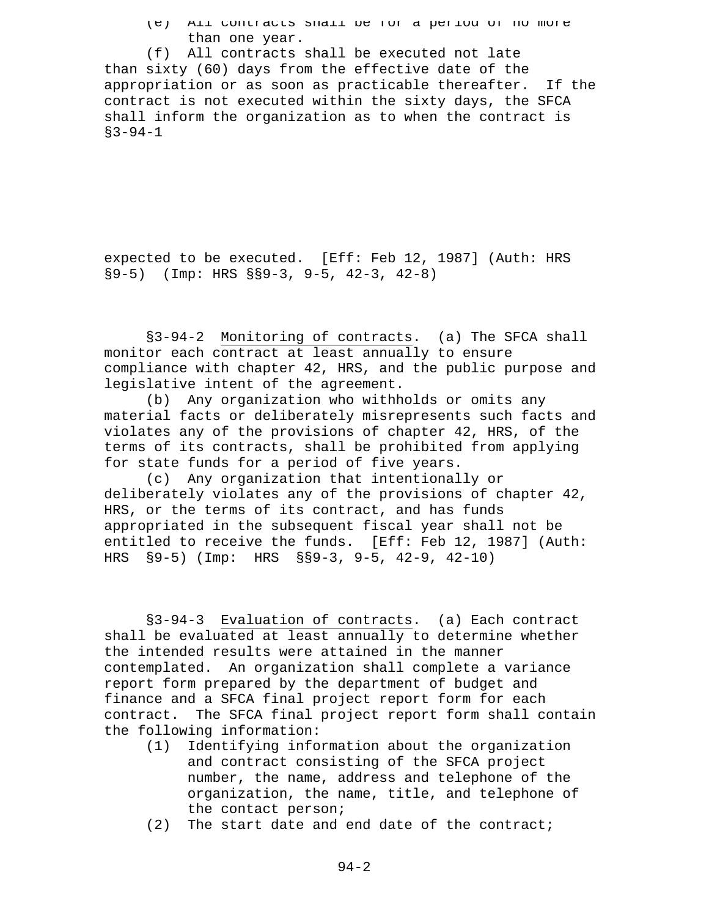(e) All contracts shall be for a period of no more than one year.

(f) All contracts shall be executed not late than sixty (60) days from the effective date of the appropriation or as soon as practicable thereafter. If the contract is not executed within the sixty days, the SFCA shall inform the organization as to when the contract is  $$3-94-1$ 

expected to be executed. [Eff: Feb 12, 1987] (Auth: HRS §9-5) (Imp: HRS §§9-3, 9-5, 42-3, 42-8)

§3-94-2 Monitoring of contracts. (a) The SFCA shall monitor each contract at least annually to ensure compliance with chapter 42, HRS, and the public purpose and legislative intent of the agreement.

(b) Any organization who withholds or omits any material facts or deliberately misrepresents such facts and violates any of the provisions of chapter 42, HRS, of the terms of its contracts, shall be prohibited from applying for state funds for a period of five years.

(c) Any organization that intentionally or deliberately violates any of the provisions of chapter 42, HRS, or the terms of its contract, and has funds appropriated in the subsequent fiscal year shall not be entitled to receive the funds. [Eff: Feb 12, 1987] (Auth: HRS §9-5) (Imp: HRS §§9-3, 9-5, 42-9, 42-10)

§3-94-3 Evaluation of contracts. (a) Each contract shall be evaluated at least annually to determine whether the intended results were attained in the manner contemplated. An organization shall complete a variance report form prepared by the department of budget and finance and a SFCA final project report form for each contract. The SFCA final project report form shall contain the following information:

- (1) Identifying information about the organization and contract consisting of the SFCA project number, the name, address and telephone of the organization, the name, title, and telephone of the contact person;
- (2) The start date and end date of the contract;